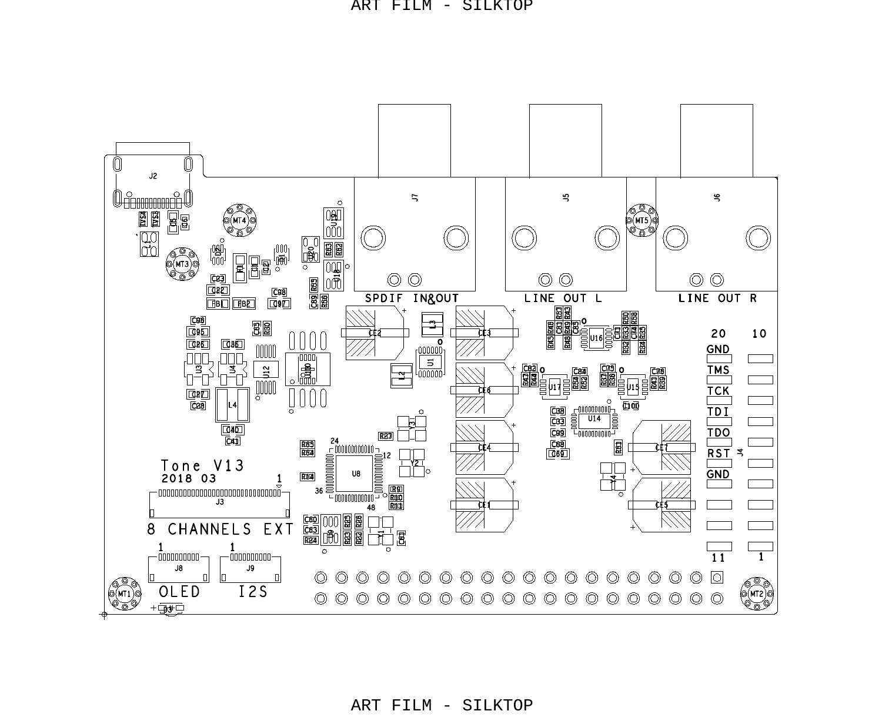